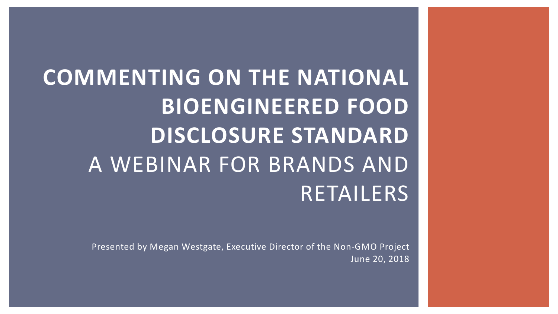**COMMENTING ON THE NATIONAL BIOENGINEERED FOOD DISCLOSURE STANDARD**  A WEBINAR FOR BRANDS AND RETAILERS

> Presented by Megan Westgate, Executive Director of the Non-GMO Project June 20, 2018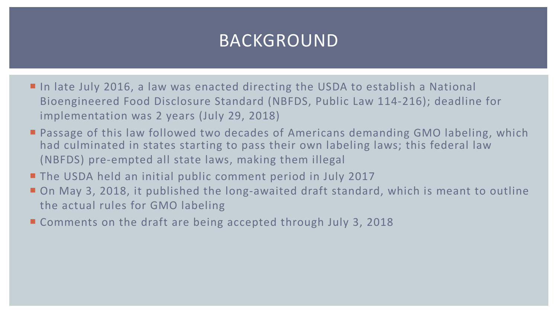# BACKGROUND

- In late July 2016, a law was enacted directing the USDA to establish a National Bioengineered Food Disclosure Standard (NBFDS, Public Law 114-216); deadline for implementation was 2 years (July 29, 2018)
- Passage of this law followed two decades of Americans demanding GMO labeling, which had culminated in states starting to pass their own labeling laws; this federal law (NBFDS) pre-empted all state laws, making them illegal
- **The USDA held an initial public comment period in July 2017**
- On May 3, 2018, it published the long-awaited draft standard, which is meant to outline the actual rules for GMO labeling
- Comments on the draft are being accepted through July 3, 2018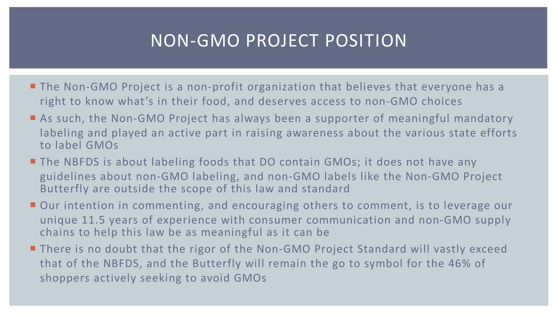## NON-GMO PROJECT POSITION

- The Non-GMO Project is a non-profit organization that believes that everyone has a right to know what's in their food, and deserves access to non-GMO choices
- **E** As such, the Non-GMO Project has always been a supporter of meaningful mandatory labeling and played an active part in raising awareness about the various state efforts to label GMOs
- The NBFDS is about labeling foods that DO contain GMOs; it does not have any guidelines about non-GMO labeling, and non-GMO labels like the Non-GMO Project Butterfly are outside the scope of this law and standard
- Our intention in commenting, and encouraging others to comment, is to leverage our unique 11.5 years of experience with consumer communication and non-GMO supply chains to help this law be as meaningful as it can be
- There is no doubt that the rigor of the Non-GMO Project Standard will vastly exceed that of the NBFDS, and the Butterfly will remain the go to symbol for the 46% of shoppers actively seeking to avoid GMOs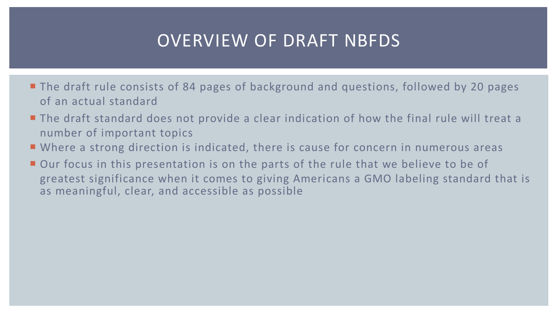# OVERVIEW OF DRAFT NBFDS

- The draft rule consists of 84 pages of background and questions, followed by 20 pages of an actual standard
- The draft standard does not provide a clear indication of how the final rule will treat a number of important topics
- Where a strong direction is indicated, there is cause for concern in numerous areas
- Our focus in this presentation is on the parts of the rule that we believe to be of greatest significance when it comes to giving Americans a GMO labeling standard that is as meaningful, clear, and accessible as possible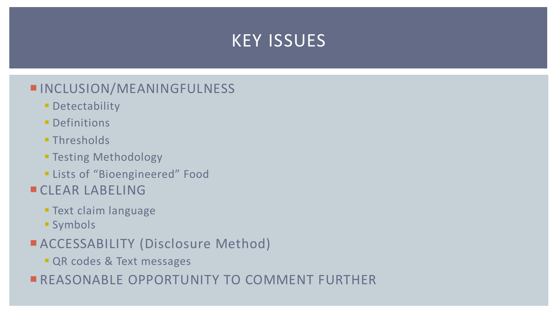#### KEY ISSUES

#### **INCLUSION/MEANINGFULNESS**

- **Detectability**
- Definitions
- Thresholds
- § Testing Methodology
- **Example 13 Food** Elists of "Bioengineered" Food
- **ECLEAR LABELING** 
	- § Text claim language
	- § Symbols
- **EACCESSABILITY (Disclosure Method)** 
	- **QR codes & Text messages**
- **EXERGIVE COPPORTUNITY TO COMMENT FURTHER**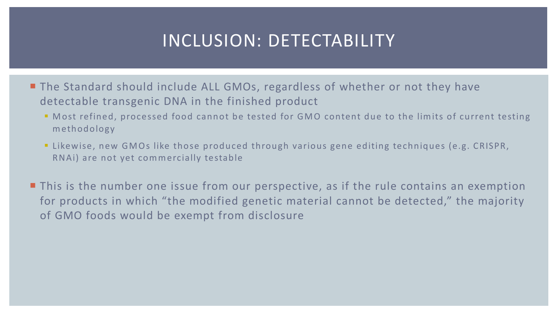#### INCLUSION: DETECTABILITY

- The Standard should include ALL GMOs, regardless of whether or not they have detectable transgenic DNA in the finished product
	- § Most refined, processed food cannot be tested for GMO content due to the limits of current testing methodology
	- Likewise, new GMOs like those produced through various gene editing techniques (e.g. CRISPR, RNAi) are not yet commercially testable
- This is the number one issue from our perspective, as if the rule contains an exemption for products in which "the modified genetic material cannot be detected," the majority of GMO foods would be exempt from disclosure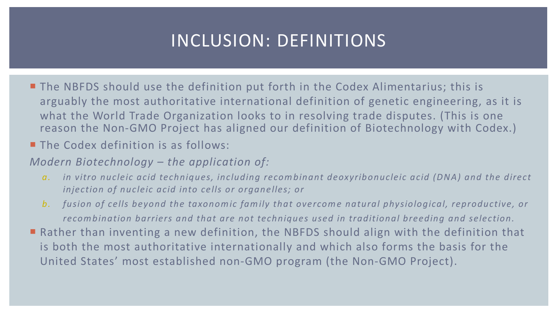# INCLUSION: DEFINITIONS

- The NBFDS should use the definition put forth in the Codex Alimentarius; this is arguably the most authoritative international definition of genetic engineering, as it is what the World Trade Organization looks to in resolving trade disputes. (This is one reason the Non-GMO Project has aligned our definition of Biotechnology with Codex.)
- **The Codex definition is as follows:**
- *Modern Biotechnology – the application of:*
	- *a. in vitro nucleic acid techniques, including recombinant deoxyribonucleic acid (DNA) and the direct injection of nucleic acid into cells or organelles; or*
	- *b. fusion of cells beyond the taxonomic family that overcome natural physiological, reproductive, or recombination barriers and that are not techniques used in traditional breeding and selection.*
- Rather than inventing a new definition, the NBFDS should align with the definition that is both the most authoritative internationally and which also forms the basis for the United States' most established non-GMO program (the Non-GMO Project).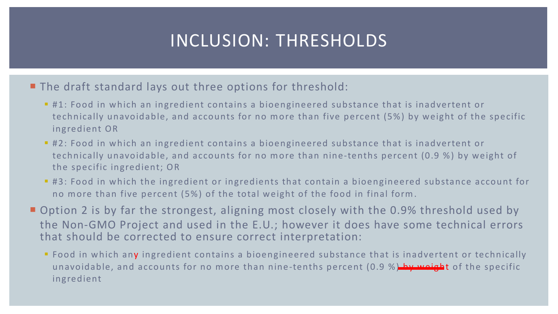# INCLUSION: THRESHOLDS

**The draft standard lays out three options for threshold:** 

- #1: Food in which an ingredient contains a bioengineered substance that is inadvertent or technically unavoidable, and accounts for no more than five percent (5%) by weight of the specific ingredient OR
- #2: Food in which an ingredient contains a bioengineered substance that is inadvertent or technically unavoidable, and accounts for no more than nine-tenths percent (0.9 %) by weight of the specific ingredient; OR
- #3: Food in which the ingredient or ingredients that contain a bioengineered substance account for no more than five percent (5%) of the total weight of the food in final form.
- Option 2 is by far the strongest, aligning most closely with the 0.9% threshold used by the Non-GMO Project and used in the E.U.; however it does have some technical errors that should be corrected to ensure correct interpretation:
	- Food in which any ingredient contains a bioengineered substance that is inadvertent or technically unavoidable, and accounts for no more than nine-tenths percent (0.9 %) by weight of the specific ingredient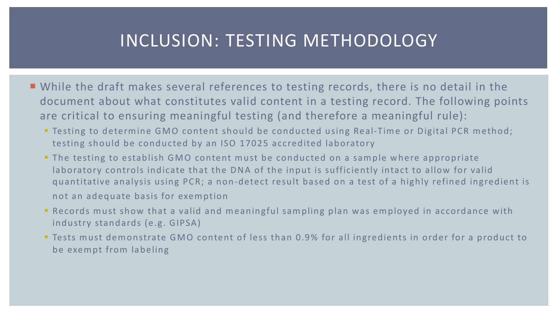#### INCLUSION: TESTING METHODOLOGY

- While the draft makes several references to testing records, there is no detail in the document about what constitutes valid content in a testing record. The following points are critical to ensuring meaningful testing (and therefore a meaningful rule):
	- Testing to determine GMO content should be conducted using Real-Time or Digital PCR method; testing should be conducted by an ISO 17025 accredited laboratory
	- **The testing to establish GMO content must be conducted on a sample where appropriate** laboratory controls indicate that the DNA of the input is sufficiently intact to allow for valid quantitative analysis using PCR; a non-detect result based on a test of a highly refined ingredient is not an adequate basis for exemption
	- Records must show that a valid and meaningful sampling plan was employed in accordance with industry standards (e.g. GIPSA)
	- Tests must demonstrate GMO content of less than 0.9% for all ingredients in order for a product to be exempt from labeling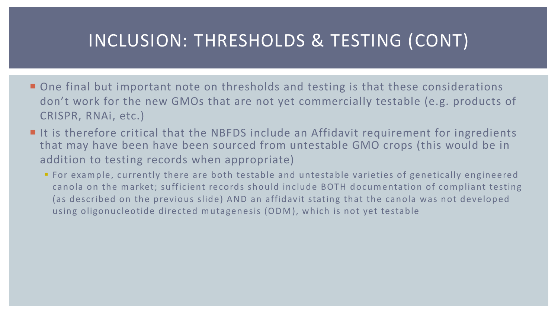# INCLUSION: THRESHOLDS & TESTING (CONT)

- One final but important note on thresholds and testing is that these considerations don't work for the new GMOs that are not yet commercially testable (e.g. products of CRISPR, RNAi, etc.)
- $\blacksquare$  It is therefore critical that the NBFDS include an Affidavit requirement for ingredients that may have been have been sourced from untestable GMO crops (this would be in addition to testing records when appropriate)
	- For example, currently there are both testable and untestable varieties of genetically engineered canola on the market; sufficient records should include BOTH documentation of compliant testing (as described on the previous slide) AND an affidavit stating that the canola was not developed using oligonucleotide directed mutagenesis (ODM), which is not yet testable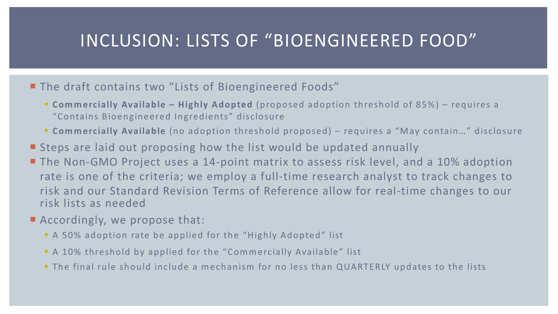## INCLUSION: LISTS OF "BIOENGINEERED FOOD"

#### ■ The draft contains two "Lists of Bioengineered Foods"

- § **Commercially Available – Highly Adopted** (proposed adoption threshold of 85%) requires a "Contains Bioengineered Ingredients" disclosure
- § **Commercially Available** (no adoption threshold proposed) requires a "May contain…" disclosure
- Steps are laid out proposing how the list would be updated annually
- **The Non-GMO Project uses a 14-point matrix to assess risk level, and a 10% adoption** rate is one of the criteria; we employ a full-time research analyst to track changes to risk and our Standard Revision Terms of Reference allow for real-time changes to our risk lists as needed
- Accordingly, we propose that:
	- § A 50% adoption rate be applied for the "Highly Adopted" list
	- **A 10% threshold by applied for the "Commercially Available" list**
	- The final rule should include a mechanism for no less than QUARTERLY updates to the lists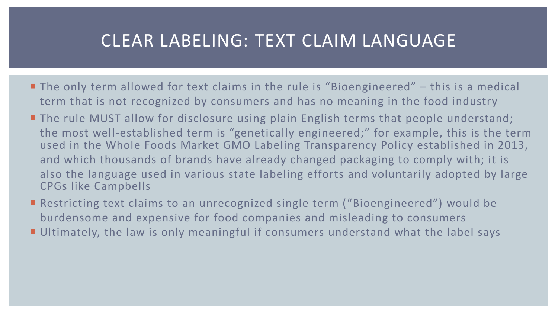#### CLEAR LABELING: TEXT CLAIM LANGUAGE

- $\blacksquare$  The only term allowed for text claims in the rule is "Bioengineered" this is a medical term that is not recognized by consumers and has no meaning in the food industry
- **The rule MUST allow for disclosure using plain English terms that people understand;** the most well-established term is "genetically engineered;" for example, this is the term used in the Whole Foods Market GMO Labeling Transparency Policy established in 2013, and which thousands of brands have already changed packaging to comply with; it is also the language used in various state labeling efforts and voluntarily adopted by large CPGs like Campbells
- Restricting text claims to an unrecognized single term ("Bioengineered") would be burdensome and expensive for food companies and misleading to consumers
- **Ultimately, the law is only meaningful if consumers understand what the label says**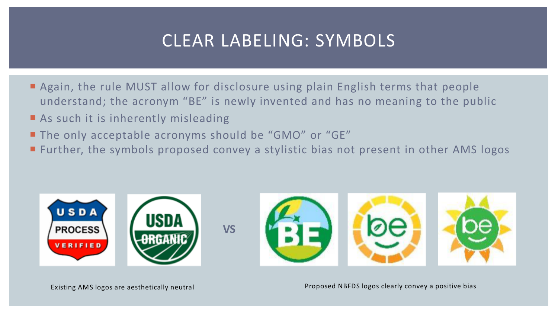# CLEAR LABELING: SYMBOLS

- **E** Again, the rule MUST allow for disclosure using plain English terms that people understand; the acronym "BE" is newly invented and has no meaning to the public
- $\blacksquare$  As such it is inherently misleading
- **The only acceptable acronyms should be "GMO" or "GE"**
- **E** Further, the symbols proposed convey a stylistic bias not present in other AMS logos

**VS**



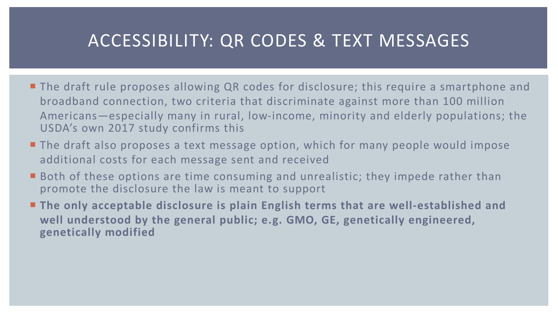# ACCESSIBILITY: QR CODES & TEXT MESSAGES

- The draft rule proposes allowing QR codes for disclosure; this require a smartphone and broadband connection, two criteria that discriminate against more than 100 million Americans—especially many in rural, low-income, minority and elderly populations; the USDA's own 2017 study confirms this
- The draft also proposes a text message option, which for many people would impose additional costs for each message sent and received
- Both of these options are time consuming and unrealistic; they impede rather than promote the disclosure the law is meant to support
- The only acceptable disclosure is plain English terms that are well-established and **well understood by the general public; e.g. GMO, GE, genetically engineered, genetically modified**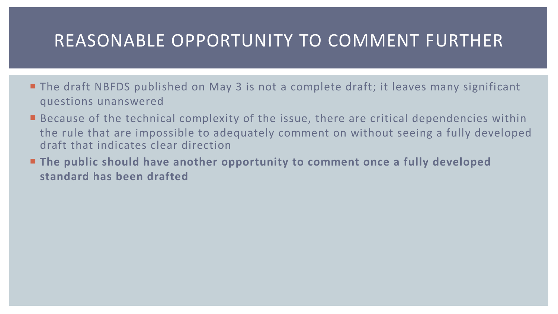#### REASONABLE OPPORTUNITY TO COMMENT FURTHER

- The draft NBFDS published on May 3 is not a complete draft; it leaves many significant questions unanswered
- $\blacksquare$  Because of the technical complexity of the issue, there are critical dependencies within the rule that are impossible to adequately comment on without seeing a fully developed draft that indicates clear direction
- **Example 2** The public should have another opportunity to comment once a fully developed **standard has been drafted**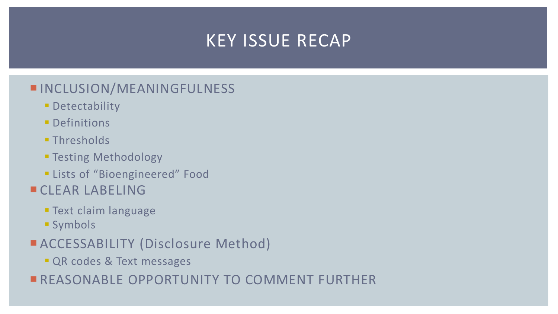# KEY ISSUE RECAP

#### **INCLUSION/MEANINGFULNESS**

- **Detectability**
- Definitions
- Thresholds
- § Testing Methodology
- **Example 1 Lists of "Bioengineered" Food**
- **ECLEAR LABELING** 
	- § Text claim language
	- § Symbols
- **EACCESSABILITY (Disclosure Method)** 
	- **QR codes & Text messages**
- **EXERGIVE COPPORTUNITY TO COMMENT FURTHER**